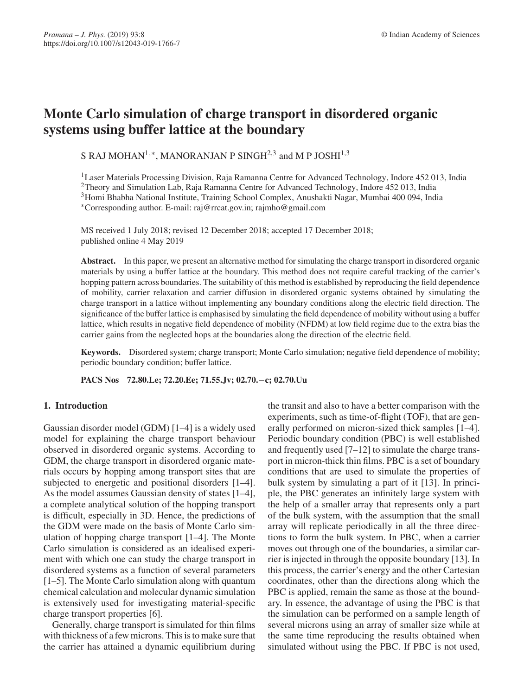# **Monte Carlo simulation of charge transport in disordered organic systems using buffer lattice at the boundary**

S RAJ MOHAN<sup>1,\*</sup>, MANORANJAN P SINGH<sup>2,3</sup> and M P JOSHI<sup>1,3</sup>

<sup>1</sup>Laser Materials Processing Division, Raja Ramanna Centre for Advanced Technology, Indore 452 013, India <sup>2</sup>Theory and Simulation Lab, Raja Ramanna Centre for Advanced Technology, Indore 452 013, India 3Homi Bhabha National Institute, Training School Complex, Anushakti Nagar, Mumbai 400 094, India ∗Corresponding author. E-mail: raj@rrcat.gov.in; rajmho@gmail.com

MS received 1 July 2018; revised 12 December 2018; accepted 17 December 2018; published online 4 May 2019

**Abstract.** In this paper, we present an alternative method for simulating the charge transport in disordered organic materials by using a buffer lattice at the boundary. This method does not require careful tracking of the carrier's hopping pattern across boundaries. The suitability of this method is established by reproducing the field dependence of mobility, carrier relaxation and carrier diffusion in disordered organic systems obtained by simulating the charge transport in a lattice without implementing any boundary conditions along the electric field direction. The significance of the buffer lattice is emphasised by simulating the field dependence of mobility without using a buffer lattice, which results in negative field dependence of mobility (NFDM) at low field regime due to the extra bias the carrier gains from the neglected hops at the boundaries along the direction of the electric field.

**Keywords.** Disordered system; charge transport; Monte Carlo simulation; negative field dependence of mobility; periodic boundary condition; buffer lattice.

**PACS Nos 72.80.Le; 72.20.Ee; 71.55.Jv; 02.70.**−**c; 02.70.Uu**

# **1. Introduction**

Gaussian disorder model (GDM) [1–4] is a widely used model for explaining the charge transport behaviour observed in disordered organic systems. According to GDM, the charge transport in disordered organic materials occurs by hopping among transport sites that are subjected to energetic and positional disorders [1–4]. As the model assumes Gaussian density of states [1–4], a complete analytical solution of the hopping transport is difficult, especially in 3D. Hence, the predictions of the GDM were made on the basis of Monte Carlo simulation of hopping charge transport [1–4]. The Monte Carlo simulation is considered as an idealised experiment with which one can study the charge transport in disordered systems as a function of several parameters [1–5]. The Monte Carlo simulation along with quantum chemical calculation and molecular dynamic simulation is extensively used for investigating material-specific charge transport properties [6].

Generally, charge transport is simulated for thin films with thickness of a few microns. This is to make sure that the carrier has attained a dynamic equilibrium during the transit and also to have a better comparison with the experiments, such as time-of-flight (TOF), that are generally performed on micron-sized thick samples [1–4]. Periodic boundary condition (PBC) is well established and frequently used [7–12] to simulate the charge transport in micron-thick thin films. PBC is a set of boundary conditions that are used to simulate the properties of bulk system by simulating a part of it [13]. In principle, the PBC generates an infinitely large system with the help of a smaller array that represents only a part of the bulk system, with the assumption that the small array will replicate periodically in all the three directions to form the bulk system. In PBC, when a carrier moves out through one of the boundaries, a similar carrier is injected in through the opposite boundary [13]. In this process, the carrier's energy and the other Cartesian coordinates, other than the directions along which the PBC is applied, remain the same as those at the boundary. In essence, the advantage of using the PBC is that the simulation can be performed on a sample length of several microns using an array of smaller size while at the same time reproducing the results obtained when simulated without using the PBC. If PBC is not used,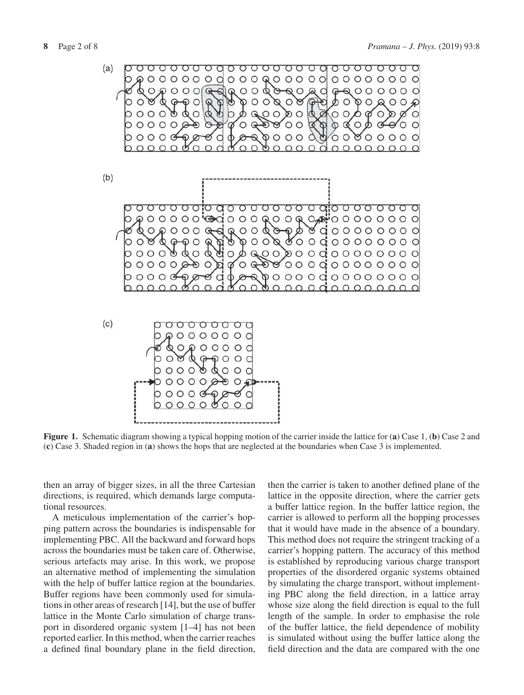

**Figure 1.** Schematic diagram showing a typical hopping motion of the carrier inside the lattice for (**a**) Case 1, (**b**) Case 2 and (**c**) Case 3. Shaded region in (**a**) shows the hops that are neglected at the boundaries when Case 3 is implemented.

then an array of bigger sizes, in all the three Cartesian directions, is required, which demands large computational resources.

A meticulous implementation of the carrier's hopping pattern across the boundaries is indispensable for implementing PBC. All the backward and forward hops across the boundaries must be taken care of. Otherwise, serious artefacts may arise. In this work, we propose an alternative method of implementing the simulation with the help of buffer lattice region at the boundaries. Buffer regions have been commonly used for simulations in other areas of research [14], but the use of buffer lattice in the Monte Carlo simulation of charge transport in disordered organic system [1–4] has not been reported earlier. In this method, when the carrier reaches a defined final boundary plane in the field direction, then the carrier is taken to another defined plane of the lattice in the opposite direction, where the carrier gets a buffer lattice region. In the buffer lattice region, the carrier is allowed to perform all the hopping processes that it would have made in the absence of a boundary. This method does not require the stringent tracking of a carrier's hopping pattern. The accuracy of this method is established by reproducing various charge transport properties of the disordered organic systems obtained by simulating the charge transport, without implementing PBC along the field direction, in a lattice array whose size along the field direction is equal to the full length of the sample. In order to emphasise the role of the buffer lattice, the field dependence of mobility is simulated without using the buffer lattice along the field direction and the data are compared with the one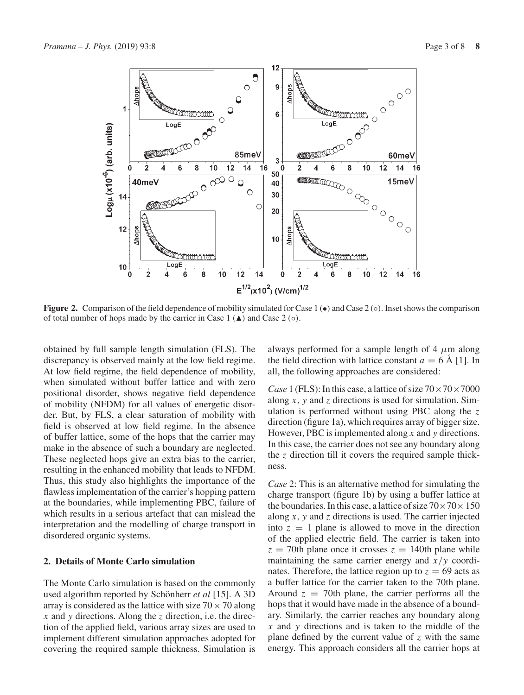

**Figure 2.** Comparison of the field dependence of mobility simulated for Case 1 (●) and Case 2 (○). Inset shows the comparison of total number of hops made by the carrier in Case  $1(\triangle)$  and Case  $2(\circ)$ .

obtained by full sample length simulation (FLS). The discrepancy is observed mainly at the low field regime. At low field regime, the field dependence of mobility, when simulated without buffer lattice and with zero positional disorder, shows negative field dependence of mobility (NFDM) for all values of energetic disorder. But, by FLS, a clear saturation of mobility with field is observed at low field regime. In the absence of buffer lattice, some of the hops that the carrier may make in the absence of such a boundary are neglected. These neglected hops give an extra bias to the carrier, resulting in the enhanced mobility that leads to NFDM. Thus, this study also highlights the importance of the flawless implementation of the carrier's hopping pattern at the boundaries, while implementing PBC, failure of which results in a serious artefact that can mislead the interpretation and the modelling of charge transport in disordered organic systems.

# **2. Details of Monte Carlo simulation**

The Monte Carlo simulation is based on the commonly used algorithm reported by Schönherr *et al* [15]. A 3D array is considered as the lattice with size  $70 \times 70$  along *x* and *y* directions. Along the *z* direction, i.e. the direction of the applied field, various array sizes are used to implement different simulation approaches adopted for covering the required sample thickness. Simulation is always performed for a sample length of 4  $\mu$ m along the field direction with lattice constant  $a = 6$  Å [1]. In all, the following approaches are considered:

*Case* 1 (FLS): In this case, a lattice of size  $70 \times 70 \times 7000$ along *x*, *y* and *z* directions is used for simulation. Simulation is performed without using PBC along the *z* direction (figure 1a), which requires array of bigger size. However, PBC is implemented along *x* and *y* directions. In this case, the carrier does not see any boundary along the *z* direction till it covers the required sample thickness.

*Case* 2: This is an alternative method for simulating the charge transport (figure 1b) by using a buffer lattice at the boundaries. In this case, a lattice of size  $70 \times 70 \times 150$ along *x*, *y* and *z* directions is used. The carrier injected into  $z = 1$  plane is allowed to move in the direction of the applied electric field. The carrier is taken into  $z = 70$ th plane once it crosses  $z = 140$ th plane while maintaining the same carrier energy and *x*/*y* coordinates. Therefore, the lattice region up to  $z = 69$  acts as a buffer lattice for the carrier taken to the 70th plane. Around  $z = 70$ th plane, the carrier performs all the hops that it would have made in the absence of a boundary. Similarly, the carrier reaches any boundary along *x* and *y* directions and is taken to the middle of the plane defined by the current value of *z* with the same energy. This approach considers all the carrier hops at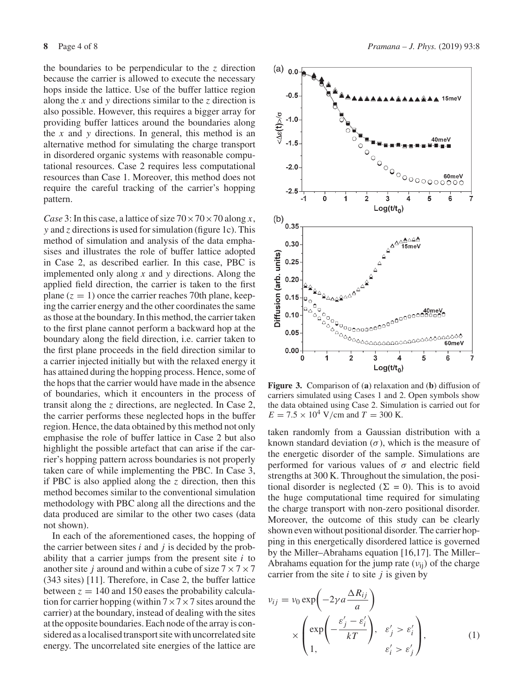the boundaries to be perpendicular to the *z* direction because the carrier is allowed to execute the necessary hops inside the lattice. Use of the buffer lattice region along the *x* and *y* directions similar to the *z* direction is also possible. However, this requires a bigger array for providing buffer lattices around the boundaries along the *x* and *y* directions. In general, this method is an alternative method for simulating the charge transport in disordered organic systems with reasonable computational resources. Case 2 requires less computational resources than Case 1. Moreover, this method does not require the careful tracking of the carrier's hopping pattern.

*Case* 3: In this case, a lattice of size  $70 \times 70 \times 70$  along *x*, *y* and *z* directions is used for simulation (figure 1c). This method of simulation and analysis of the data emphasises and illustrates the role of buffer lattice adopted in Case 2, as described earlier. In this case, PBC is implemented only along *x* and *y* directions. Along the applied field direction, the carrier is taken to the first plane  $(z = 1)$  once the carrier reaches 70th plane, keeping the carrier energy and the other coordinates the same as those at the boundary. In this method, the carrier taken to the first plane cannot perform a backward hop at the boundary along the field direction, i.e. carrier taken to the first plane proceeds in the field direction similar to a carrier injected initially but with the relaxed energy it has attained during the hopping process. Hence, some of the hops that the carrier would have made in the absence of boundaries, which it encounters in the process of transit along the *z* directions, are neglected. In Case 2, the carrier performs these neglected hops in the buffer region. Hence, the data obtained by this method not only emphasise the role of buffer lattice in Case 2 but also highlight the possible artefact that can arise if the carrier's hopping pattern across boundaries is not properly taken care of while implementing the PBC. In Case 3, if PBC is also applied along the *z* direction, then this method becomes similar to the conventional simulation methodology with PBC along all the directions and the data produced are similar to the other two cases (data not shown).

In each of the aforementioned cases, the hopping of the carrier between sites *i* and *j* is decided by the probability that a carrier jumps from the present site *i* to another site *j* around and within a cube of size  $7 \times 7 \times 7$ (343 sites) [11]. Therefore, in Case 2, the buffer lattice between  $z = 140$  and 150 eases the probability calculation for carrier hopping (within  $7 \times 7 \times 7$  sites around the carrier) at the boundary, instead of dealing with the sites at the opposite boundaries. Each node of the array is considered as a localised transport site with uncorrelated site energy. The uncorrelated site energies of the lattice are



**Figure 3.** Comparison of (**a**) relaxation and (**b**) diffusion of carriers simulated using Cases 1 and 2. Open symbols show the data obtained using Case 2. Simulation is carried out for  $E = 7.5 \times 10^4$  V/cm and  $T = 300$  K.

taken randomly from a Gaussian distribution with a known standard deviation  $(\sigma)$ , which is the measure of the energetic disorder of the sample. Simulations are performed for various values of  $\sigma$  and electric field strengths at 300 K. Throughout the simulation, the positional disorder is neglected ( $\Sigma = 0$ ). This is to avoid the huge computational time required for simulating the charge transport with non-zero positional disorder. Moreover, the outcome of this study can be clearly shown even without positional disorder. The carrier hopping in this energetically disordered lattice is governed by the Miller–Abrahams equation [16,17]. The Miller– Abrahams equation for the jump rate  $(v_{ii})$  of the charge carrier from the site *i* to site *j* is given by

$$
v_{ij} = v_0 \exp\left(-2\gamma a \frac{\Delta R_{ij}}{a}\right)
$$
  
 
$$
\times \left(\exp\left(-\frac{\varepsilon'_j - \varepsilon'_i}{kT}\right), \ \varepsilon'_j > \varepsilon'_i\right),
$$
  
 
$$
\varepsilon'_i > \varepsilon'_j
$$
 (1)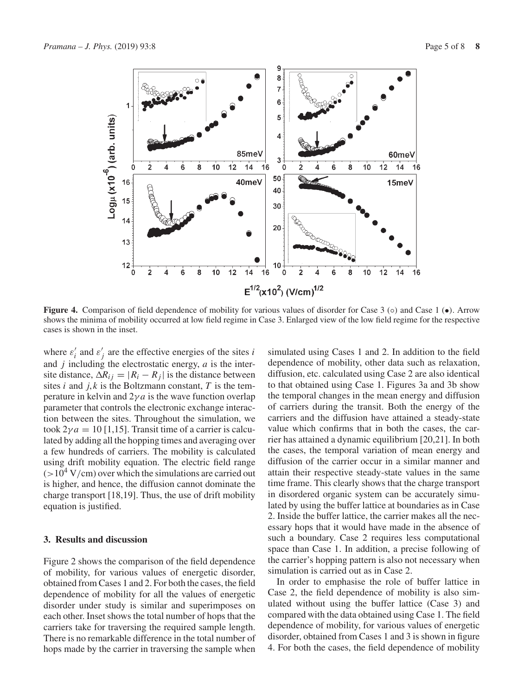

**Figure 4.** Comparison of field dependence of mobility for various values of disorder for Case 3 (◦) and Case 1 (●). Arrow shows the minima of mobility occurred at low field regime in Case 3. Enlarged view of the low field regime for the respective cases is shown in the inset.

where  $\varepsilon'_i$  and  $\varepsilon'_j$  are the effective energies of the sites *i* and *j* including the electrostatic energy, *a* is the intersite distance,  $\Delta R_{ij} = |R_i - R_j|$  is the distance between sites  $i$  and  $j, k$  is the Boltzmann constant,  $T$  is the temperature in kelvin and  $2\gamma a$  is the wave function overlap parameter that controls the electronic exchange interaction between the sites. Throughout the simulation, we took  $2\gamma a = 10$  [1,15]. Transit time of a carrier is calculated by adding all the hopping times and averaging over a few hundreds of carriers. The mobility is calculated using drift mobility equation. The electric field range  $(>10^4$  V/cm) over which the simulations are carried out is higher, and hence, the diffusion cannot dominate the charge transport [18,19]. Thus, the use of drift mobility equation is justified.

#### **3. Results and discussion**

Figure 2 shows the comparison of the field dependence of mobility, for various values of energetic disorder, obtained from Cases 1 and 2. For both the cases, the field dependence of mobility for all the values of energetic disorder under study is similar and superimposes on each other. Inset shows the total number of hops that the carriers take for traversing the required sample length. There is no remarkable difference in the total number of hops made by the carrier in traversing the sample when simulated using Cases 1 and 2. In addition to the field dependence of mobility, other data such as relaxation, diffusion, etc. calculated using Case 2 are also identical to that obtained using Case 1. Figures 3a and 3b show the temporal changes in the mean energy and diffusion of carriers during the transit. Both the energy of the carriers and the diffusion have attained a steady-state value which confirms that in both the cases, the carrier has attained a dynamic equilibrium [20,21]. In both the cases, the temporal variation of mean energy and diffusion of the carrier occur in a similar manner and attain their respective steady-state values in the same time frame. This clearly shows that the charge transport in disordered organic system can be accurately simulated by using the buffer lattice at boundaries as in Case 2. Inside the buffer lattice, the carrier makes all the necessary hops that it would have made in the absence of such a boundary. Case 2 requires less computational space than Case 1. In addition, a precise following of the carrier's hopping pattern is also not necessary when simulation is carried out as in Case 2.

In order to emphasise the role of buffer lattice in Case 2, the field dependence of mobility is also simulated without using the buffer lattice (Case 3) and compared with the data obtained using Case 1. The field dependence of mobility, for various values of energetic disorder, obtained from Cases 1 and 3 is shown in figure 4. For both the cases, the field dependence of mobility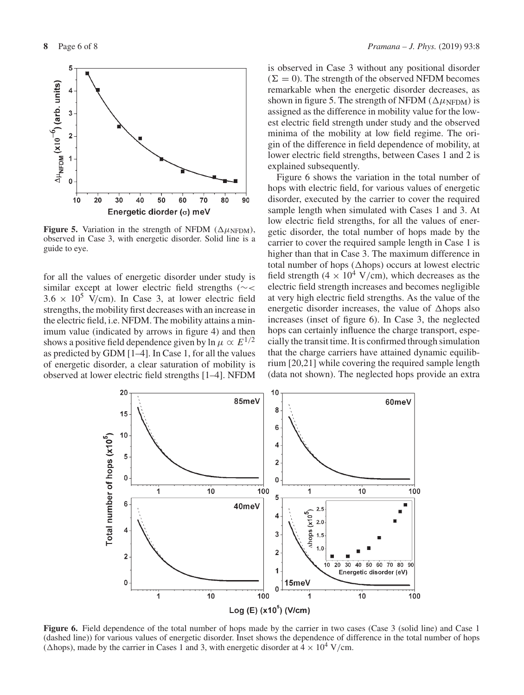

**Figure 5.** Variation in the strength of NFDM ( $\Delta \mu$ <sub>NFDM</sub>), observed in Case 3, with energetic disorder. Solid line is a guide to eye.

for all the values of energetic disorder under study is similar except at lower electric field strengths (∼<  $3.6 \times 10^5$  V/cm). In Case 3, at lower electric field strengths, the mobility first decreases with an increase in the electric field, i.e. NFDM. The mobility attains a minimum value (indicated by arrows in figure 4) and then shows a positive field dependence given by ln  $\mu \propto E^{1/2}$ as predicted by GDM [1–4]. In Case 1, for all the values of energetic disorder, a clear saturation of mobility is observed at lower electric field strengths [1–4]. NFDM is observed in Case 3 without any positional disorder  $(\Sigma = 0)$ . The strength of the observed NFDM becomes remarkable when the energetic disorder decreases, as shown in figure 5. The strength of NFDM ( $\Delta \mu$ NFDM) is assigned as the difference in mobility value for the lowest electric field strength under study and the observed minima of the mobility at low field regime. The origin of the difference in field dependence of mobility, at lower electric field strengths, between Cases 1 and 2 is explained subsequently.

Figure 6 shows the variation in the total number of hops with electric field, for various values of energetic disorder, executed by the carrier to cover the required sample length when simulated with Cases 1 and 3. At low electric field strengths, for all the values of energetic disorder, the total number of hops made by the carrier to cover the required sample length in Case 1 is higher than that in Case 3. The maximum difference in total number of hops ( $\triangle$ hops) occurs at lowest electric field strength (4  $\times$  10<sup>4</sup> V/cm), which decreases as the electric field strength increases and becomes negligible at very high electric field strengths. As the value of the energetic disorder increases, the value of  $\Delta$ hops also increases (inset of figure 6). In Case 3, the neglected hops can certainly influence the charge transport, especially the transit time. It is confirmed through simulation that the charge carriers have attained dynamic equilibrium [20,21] while covering the required sample length (data not shown). The neglected hops provide an extra



Figure 6. Field dependence of the total number of hops made by the carrier in two cases (Case 3 (solid line) and Case 1 (dashed line)) for various values of energetic disorder. Inset shows the dependence of difference in the total number of hops ( $\Delta$ hops), made by the carrier in Cases 1 and 3, with energetic disorder at  $4 \times 10^4$  V/cm.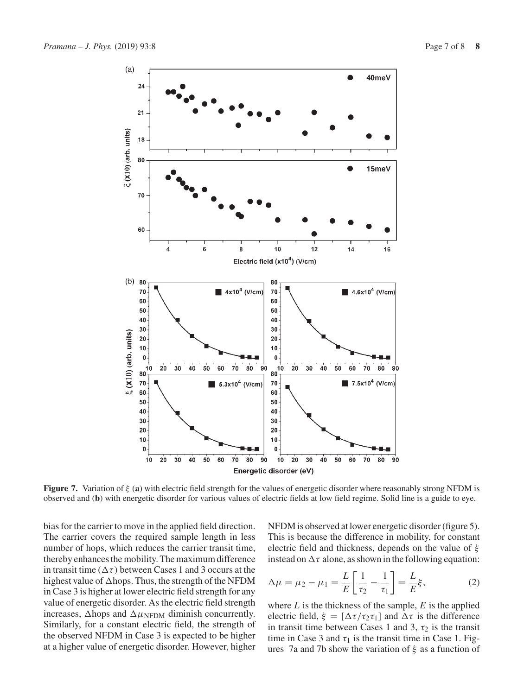

**Figure 7.** Variation of ξ (**a**) with electric field strength for the values of energetic disorder where reasonably strong NFDM is observed and (**b**) with energetic disorder for various values of electric fields at low field regime. Solid line is a guide to eye.

bias for the carrier to move in the applied field direction. The carrier covers the required sample length in less number of hops, which reduces the carrier transit time, thereby enhances the mobility. The maximum difference in transit time ( $\Delta \tau$ ) between Cases 1 and 3 occurs at the highest value of  $\triangle$ hops. Thus, the strength of the NFDM in Case 3 is higher at lower electric field strength for any value of energetic disorder. As the electric field strength increases,  $\Delta$ hops and  $\Delta \mu$ <sub>NFDM</sub> diminish concurrently. Similarly, for a constant electric field, the strength of the observed NFDM in Case 3 is expected to be higher at a higher value of energetic disorder. However, higher NFDM is observed at lower energetic disorder (figure 5). This is because the difference in mobility, for constant electric field and thickness, depends on the value of  $\xi$ instead on  $\Delta \tau$  alone, as shown in the following equation:

$$
\Delta \mu = \mu_2 - \mu_1 = \frac{L}{E} \left[ \frac{1}{\tau_2} - \frac{1}{\tau_1} \right] = \frac{L}{E} \xi, \tag{2}
$$

where *L* is the thickness of the sample, *E* is the applied electric field,  $\xi = [\Delta \tau / \tau_2 \tau_1]$  and  $\Delta \tau$  is the difference in transit time between Cases 1 and 3,  $\tau_2$  is the transit time in Case 3 and  $\tau_1$  is the transit time in Case 1. Figures 7a and 7b show the variation of  $\xi$  as a function of